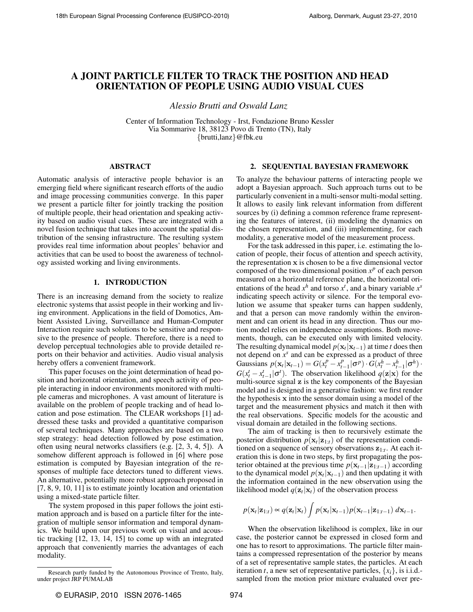# A JOINT PARTICLE FILTER TO TRACK THE POSITION AND HEAD ORIENTATION OF PEOPLE USING AUDIO VISUAL CUES

*Alessio Brutti and Oswald Lanz*

Center of Information Technology - Irst, Fondazione Bruno Kessler Via Sommarive 18, 38123 Povo di Trento (TN), Italy {brutti,lanz}@fbk.eu

## ABSTRACT

Automatic analysis of interactive people behavior is an emerging field where significant research efforts of the audio and image processing communities converge. In this paper we present a particle filter for jointly tracking the position of multiple people, their head orientation and speaking activity based on audio visual cues. These are integrated with a novel fusion technique that takes into account the spatial distribution of the sensing infrastructure. The resulting system provides real time information about peoples' behavior and activities that can be used to boost the awareness of technology assisted working and living environments.

## 1. INTRODUCTION

There is an increasing demand from the society to realize electronic systems that assist people in their working and living environment. Applications in the field of Domotics, Ambient Assisted Living, Surveillance and Human-Computer Interaction require such solutions to be sensitive and responsive to the presence of people. Therefore, there is a need to develop perceptual technologies able to provide detailed reports on their behavior and activities. Audio visual analysis hereby offers a convenient framework.

This paper focuses on the joint determination of head position and horizontal orientation, and speech activity of people interacting in indoor environments monitored with multiple cameras and microphones. A vast amount of literature is available on the problem of people tracking and of head location and pose estimation. The CLEAR workshops [1] addressed these tasks and provided a quantitative comparison of several techniques. Many approaches are based on a two step strategy: head detection followed by pose estimation, often using neural networks classifiers (e.g. [2, 3, 4, 5]). A somehow different approach is followed in [6] where pose estimation is computed by Bayesian integration of the responses of multiple face detectors tuned to different views. An alternative, potentially more robust approach proposed in [7, 8, 9, 10, 11] is to estimate jointly location and orientation using a mixed-state particle filter.

The system proposed in this paper follows the joint estimation approach and is based on a particle filter for the integration of multiple sensor information and temporal dynamics. We build upon our previous work on visual and acoustic tracking [12, 13, 14, 15] to come up with an integrated approach that conveniently marries the advantages of each modality.

#### 2. SEQUENTIAL BAYESIAN FRAMEWORK

To analyze the behaviour patterns of interacting people we adopt a Bayesian approach. Such approach turns out to be particularly convenient in a multi-sensor multi-modal setting. It allows to easily link relevant information from different sources by (i) defining a common reference frame representing the features of interest, (ii) modeling the dynamics on the chosen representation, and (iii) implementing, for each modality, a generative model of the measurement process.

For the task addressed in this paper, i.e. estimating the location of people, their focus of attention and speech activity, the representation x is chosen to be a five dimensional vector composed of the two dimensional position  $x^p$  of each person measured on a horizontal reference plane, the horizontal orientations of the head  $x^h$  and torso  $x^t$ , and a binary variable  $x^s$ indicating speech activity or silence. For the temporal evolution we assume that speaker turns can happen suddenly, and that a person can move randomly within the environment and can orient its head in any direction. Thus our motion model relies on independence assumptions. Both movements, though, can be executed only with limited velocity. The resulting dynamical model  $p(\mathbf{x}_t | \mathbf{x}_{t-1})$  at time *t* does then not depend on  $x^s$  and can be expressed as a product of three Gaussians  $p(\mathbf{x}_t | \mathbf{x}_{t-1}) = G(x_t^p - x_{t-1}^p | \sigma^p) \cdot G(x_t^h - x_{t-1}^h | \sigma^h) \cdot$  $G(x_t^t - x_{t-1}^t | \sigma^t)$ . The observation likelihood  $q(\mathbf{z}|\mathbf{x})$  for the multi-source signal z is the key components of the Bayesian model and is designed in a generative fashion: we first render the hypothesis x into the sensor domain using a model of the target and the measurement physics and match it then with the real observations. Specific models for the acoustic and visual domain are detailed in the following sections.

The aim of tracking is then to recursively estimate the posterior distribution  $p(\mathbf{x}_t|\mathbf{z}_{1:t})$  of the representation conditioned on a sequence of sensory observations z1:*<sup>t</sup>* . At each iteration this is done in two steps, by first propagating the posterior obtained at the previous time  $p(\mathbf{x}_{t-1}|\mathbf{z}_{1:t-1})$  according to the dynamical model  $p(\mathbf{x}_t|\mathbf{x}_{t-1})$  and then updating it with the information contained in the new observation using the likelihood model  $q(\mathbf{z}_t|\mathbf{x}_t)$  of the observation process

$$
p(\mathbf{x}_t|\mathbf{z}_{1:t}) \propto q(\mathbf{z}_t|\mathbf{x}_t) \int p(\mathbf{x}_t|\mathbf{x}_{t-1}) p(\mathbf{x}_{t-1}|\mathbf{z}_{1:t-1}) d\mathbf{x}_{t-1}.
$$

When the observation likelihood is complex, like in our case, the posterior cannot be expressed in closed form and one has to resort to approximations. The particle filter maintains a compressed representation of the posterior by means of a set of representative sample states, the particles. At each iteration *t*, a new set of representative particles,  $\{x_i\}$ , is i.i.d.sampled from the motion prior mixture evaluated over pre-

Research partly funded by the Autonomous Province of Trento, Italy, under project JRP PUMALAB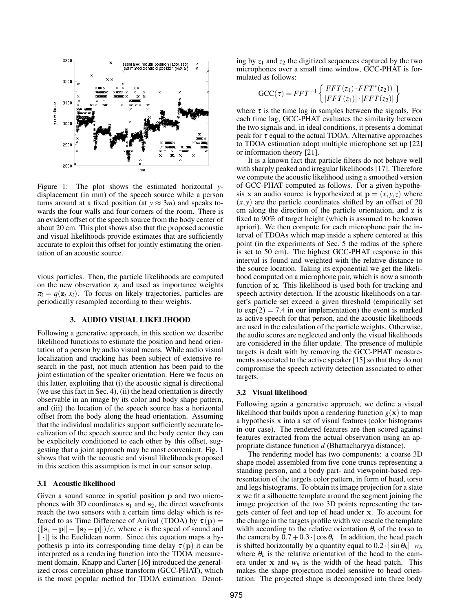

Figure 1: The plot shows the estimated horizontal *y*displacement (in mm) of the speech source while a person turns around at a fixed position (at  $y \approx 3m$ ) and speaks towards the four walls and four corners of the room. There is an evident offset of the speech source from the body center of about 20 cm. This plot shows also that the proposed acoustic and visual likelihoods provide estimates that are sufficiently accurate to exploit this offset for jointly estimating the orientation of an acoustic source.

vious particles. Then, the particle likelihoods are computed on the new observation  $z_t$  and used as importance weights  $\pi_i = q(\mathbf{z}_i | x_i)$ . To focus on likely trajectories, particles are periodically resampled according to their weights.

# 3. AUDIO VISUAL LIKELIHOOD

Following a generative approach, in this section we describe likelihood functions to estimate the position and head orientation of a person by audio visual means. While audio visual localization and tracking has been subject of extensive research in the past, not much attention has been paid to the joint estimation of the speaker orientation. Here we focus on this latter, exploiting that (i) the acoustic signal is directional (we use this fact in Sec. 4), (ii) the head orientation is directly observable in an image by its color and body shape pattern, and (iii) the location of the speech source has a horizontal offset from the body along the head orientation. Assuming that the individual modalities support sufficiently accurate localization of the speech source and the body center they can be explicitely conditioned to each other by this offset, suggesting that a joint approach may be most convenient. Fig. 1 shows that with the acoustic and visual likelihoods proposed in this section this assumption is met in our sensor setup.

# 3.1 Acoustic likelihood

Given a sound source in spatial position p and two microphones with 3D coordinates  $s_1$  and  $s_2$ , the direct wavefronts reach the two sensors with a certain time delay which is referred to as Time Difference of Arrival (TDOA) by  $\tau(\mathbf{p}) =$  $(\|\mathbf{s}_1 - \mathbf{p}\| - \|\mathbf{s}_2 - \mathbf{p}\|)/c$ , where *c* is the speed of sound and  $\|\cdot\|$  is the Euclidean norm. Since this equation maps a hypothesis **p** into its corresponding time delay  $\tau(\mathbf{p})$  it can be interpreted as a rendering function into the TDOA measurement domain. Knapp and Carter [16] introduced the generalized cross correlation phase transform (GCC-PHAT), which is the most popular method for TDOA estimation. Denoting by  $z_1$  and  $z_2$  the digitized sequences captured by the two microphones over a small time window, GCC-PHAT is formulated as follows:

$$
\text{GCC}(\tau) = FFT^{-1} \left\{ \frac{FFT(z_1) \cdot FFT^*(z_2))}{|FFT(z_1)| \cdot |FFT(z_2)|} \right\}
$$

where  $\tau$  is the time lag in samples between the signals. For each time lag, GCC-PHAT evaluates the similarity between the two signals and, in ideal conditions, it presents a dominat peak for  $\tau$  equal to the actual TDOA. Alternative approaches to TDOA estimation adopt multiple microphone set up [22] or information theory [21].

It is a known fact that particle filters do not behave well with sharply peaked and irregular likelihoods [17]. Therefore we compute the acoustic likelihood using a smoothed version of GCC-PHAT computed as follows. For a given hypothesis x an audio source is hypothesized at  $\mathbf{p} = (x, y, z)$  where  $(x, y)$  are the particle coordinates shifted by an offset of 20 cm along the direction of the particle orientation, and z is fixed to 90% of target height (which is assumed to be known apriori). We then compute for each microphone pair the interval of TDOAs which map inside a sphere centered at this point (in the experiments of Sec. 5 the radius of the sphere is set to 50 cm). The highest GCC-PHAT response in this interval is found and weighted with the relative distance to the source location. Taking its exponential we get the likelihood computed on a microphone pair, which is now a smooth function of x. This likelihood is used both for tracking and speech activity detection. If the acoustic likelihoods on a target's particle set exceed a given threshold (empirically set to  $exp(2) = 7.4$  in our implementation) the event is marked as active speech for that person, and the acoustic likelihoods are used in the calculation of the particle weights. Otherwise, the audio scores are neglected and only the visual likelihoods are considered in the filter update. The presence of multiple targets is dealt with by removing the GCC-PHAT measurements associated to the active speaker [15] so that they do not compromise the speech activity detection associated to other targets.

#### 3.2 Visual likelihood

Following again a generative approach, we define a visual likelihood that builds upon a rendering function  $g(x)$  to map a hypothesis x into a set of visual features (color histograms in our case). The rendered features are then scored against features extracted from the actual observation using an appropriate distance function *d* (Bhattacharyya distance).

The rendering model has two components: a coarse 3D shape model assembled from five cone truncs representing a standing person, and a body part- and viewpoint-based representation of the targets color pattern, in form of head, torso and legs histograms. To obtain its image projection for a state x we fit a silhouette template around the segment joining the image projection of the two 3D points representing the targets center of feet and top of head under x. To account for the change in the targets profile width we rescale the template width according to the relative orientation  $\theta_t$  of the torso to the camera by  $0.7 + 0.3 \cdot |\cos \theta_t|$ . In addition, the head patch is shifted horizontally by a quantity equal to  $0.2 \cdot |\sin \theta_h| \cdot w_h$ where  $\theta_h$  is the relative orientation of the head to the camera under x and  $w_h$  is the width of the head patch. This makes the shape projection model sensitive to head orientation. The projected shape is decomposed into three body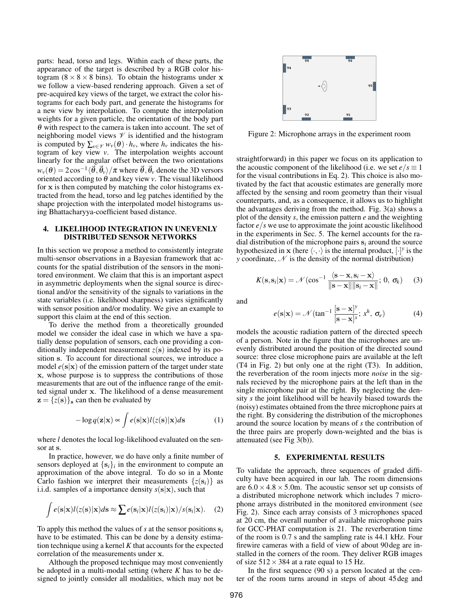parts: head, torso and legs. Within each of these parts, the appearance of the target is described by a RGB color histogram ( $8 \times 8 \times 8$  bins). To obtain the histograms under x we follow a view-based rendering approach. Given a set of pre-acquired key views of the target, we extract the color histograms for each body part, and generate the histograms for a new view by interpolation. To compute the interpolation weights for a given particle, the orientation of the body part  $\theta$  with respect to the camera is taken into account. The set of neighboring model views  $\mathcal V$  is identified and the histogram is computed by  $\sum_{v \in \mathcal{V}} w_v(\theta) \cdot h_v$ , where  $h_v$  indicates the histogram of key view *v*. The interpolation weights account linearly for the angular offset between the two orientations  $w_\nu(\bm{\theta}) = 2\cos^{-1}\langle \vec{\bm{\theta}},\vec{\bm{\theta}}_\nu\rangle/\pi$  where  $\vec{\bm{\theta}},\vec{\bm{\theta}}_\nu$  denote the 3D versors oriented according to  $\theta$  and key view  $\nu$ . The visual likelihood for x is then computed by matching the color histograms extracted from the head, torso and leg patches identified by the shape projection with the interpolated model histograms using Bhattacharyya-coefficient based distance.

# 4. LIKELIHOOD INTEGRATION IN UNEVENLY DISTRIBUTED SENSOR NETWORKS

In this section we propose a method to consistently integrate multi-sensor observations in a Bayesian framework that accounts for the spatial distribution of the sensors in the monitored environment. We claim that this is an important aspect in asymmetric deployments when the signal source is directional and/or the sensitivity of the signals to variations in the state variables (i.e. likelihood sharpness) varies significantly with sensor position and/or modality. We give an example to support this claim at the end of this section.

To derive the method from a theoretically grounded model we consider the ideal case in which we have a spatially dense population of sensors, each one providing a conditionally independent measurement  $z(s)$  indexed by its position s. To account for directional sources, we introduce a model  $e(s|x)$  of the emission pattern of the target under state x, whose purpose is to suppress the contributions of those measurements that are out of the influence range of the emitted signal under x. The likelihood of a dense measurement  $z = \{z(s)\}\)$  can then be evaluated by

$$
-\log q(\mathbf{z}|\mathbf{x}) \propto \int e(\mathbf{s}|\mathbf{x}) l(z(\mathbf{s})|\mathbf{x}) d\mathbf{s}
$$
 (1)

where *l* denotes the local log-likelihood evaluated on the sensor at s.

In practice, however, we do have only a finite number of sensors deployed at  $\{s_i\}$ *i* in the environment to compute an approximation of the above integral. To do so in a Monte Carlo fashion we interpret their measurements  $\{z(s_i)\}\$ as i.i.d. samples of a importance density  $s(s|x)$ , such that

$$
\int e(\mathbf{s}|\mathbf{x})l(z(\mathbf{s})|\mathbf{x})d\mathbf{s} \approx \sum e(\mathbf{s}_i|\mathbf{x})l(z(\mathbf{s}_i)|\mathbf{x})/s(\mathbf{s}_i|\mathbf{x}). \quad (2)
$$

To apply this method the values of *s* at the sensor positions s*<sup>i</sup>* have to be estimated. This can be done by a density estimation technique using a kernel *K* that accounts for the expected correlation of the measurements under x.

Although the proposed technique may most conveniently be adopted in a multi-modal setting (where *K* has to be designed to jointly consider all modalities, which may not be



Figure 2: Microphone arrays in the experiment room

straightforward) in this paper we focus on its application to the acoustic component of the likelihood (i.e. we set  $e/s \equiv 1$ for the visual contributions in Eq. 2). This choice is also motivated by the fact that acoustic estimates are generally more affected by the sensing and room geometry than their visual counterparts, and, as a consequence, it allows us to highlight the advantages deriving from the method. Fig. 3(a) shows a plot of the density *s*, the emission pattern *e* and the weighting factor *e*/*s* we use to approximate the joint acoustic likelihood in the experiments in Sec. 5. The kernel accounts for the radial distribution of the microphone pairs  $s_i$  around the source hypothesized in **x** (here  $\langle \cdot, \cdot \rangle$  is the internal product,  $[\cdot]$ <sup>*y*</sup> is the *y* coordinate,  $\mathcal N$  is the density of the normal distribution)

$$
K(\mathbf{s}, \mathbf{s}_i | \mathbf{x}) = \mathcal{N}(\cos^{-1} \frac{\langle \mathbf{s} - \mathbf{x}, \mathbf{s}_i - \mathbf{x} \rangle}{\|\mathbf{s} - \mathbf{x}\| \|\mathbf{s}_i - \mathbf{x}\|}; 0, \sigma_k)
$$
(3)

and

$$
e(\mathbf{s}|\mathbf{x}) = \mathcal{N}(\tan^{-1}\frac{[\mathbf{s} - \mathbf{x}]^y}{[\mathbf{s} - \mathbf{x}]^x}; x^h, \sigma_e)
$$
(4)

models the acoustic radiation pattern of the directed speech of a person. Note in the figure that the microphones are unevenly distributed around the position of the directed sound source: three close microphone pairs are available at the left (T4 in Fig. 2) but only one at the right (T3). In addition, the reverberation of the room injects more *noise* in the signals recieved by the microphone pairs at the left than in the single microphone pair at the right. By neglecting the density *s* the joint likelihood will be heavily biased towards the (noisy) estimates obtained from the three microphone pairs at the right. By considering the distribution of the microphones around the source location by means of *s* the contribution of the three pairs are properly down-weighted and the bias is attenuated (see Fig 3(b)).

### 5. EXPERIMENTAL RESULTS

To validate the approach, three sequences of graded difficulty have been acquired in our lab. The room dimensions are  $6.0 \times 4.8 \times 5.0$ m. The acoustic sensor set up consists of a distributed microphone network which includes 7 microphone arrays distributed in the monitored environment (see Fig. 2). Since each array consists of 3 microphones spaced at 20 cm, the overall number of available microphone pairs for GCC-PHAT computation is 21. The reverberation time of the room is 0.7 s and the sampling rate is 44.1 kHz. Four firewire cameras with a field of view of about 90 deg are installed in the corners of the room. They deliver RGB images of size  $512 \times 384$  at a rate equal to 15 Hz.

In the first sequence (90 s) a person located at the center of the room turns around in steps of about 45 deg and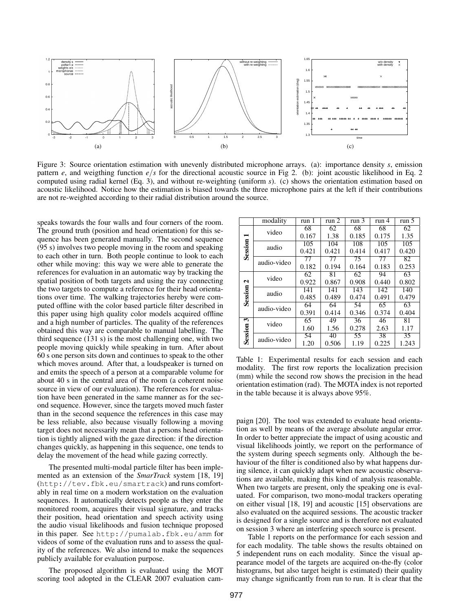

Figure 3: Source orientation estimation with unevenly distributed microphone arrays. (a): importance density *s*, emission pattern *e*, and weigthing function  $e/s$  for the directional acoustic source in Fig 2. (b): joint acoustic likelihood in Eq. 2 computed using radial kernel (Eq. 3), and without re-weighting (uniform *s*). (c) shows the orientation estimation based on acoustic likelihood. Notice how the estimation is biased towards the three microphone pairs at the left if their contributions are not re-weighted according to their radial distribution around the source.

speaks towards the four walls and four corners of the room. The ground truth (position and head orientation) for this sequence has been generated manually. The second sequence (95 s) involves two people moving in the room and speaking to each other in turn. Both people continue to look to each other while moving: this way we were able to generate the references for evaluation in an automatic way by tracking the spatial position of both targets and using the ray connecting the two targets to compute a reference for their head orientations over time. The walking trajectories hereby were computed offline with the color based particle filter described in this paper using high quality color models acquired offline and a high number of particles. The quality of the references obtained this way are comparable to manual labelling. The third sequence (131 s) is the most challenging one, with two people moving quickly while speaking in turn. After about 60 s one person sits down and continues to speak to the other which moves around. After that, a loudspeaker is turned on and emits the speech of a person at a comparable volume for about 40 s in the central area of the room (a coherent noise source in view of our evaluation). The references for evaluation have been generated in the same manner as for the second sequence. However, since the targets moved much faster than in the second sequence the references in this case may be less reliable, also because visually following a moving target does not necessarily mean that a persons head orientation is tightly aligned with the gaze direction: if the direction changes quickly, as happening in this sequence, one tends to delay the movement of the head while gazing correctly.

The presented multi-modal particle filter has been implemented as an extension of the *SmarTrack* system [18, 19] (http://tev.fbk.eu/smartrack) and runs comfortably in real time on a modern workstation on the evaluation sequences. It automatically detects people as they enter the monitored room, acquires their visual signature, and tracks their position, head orientation and speech activity using the audio visual likelihoods and fusion technique proposed in this paper. See http://pumalab.fbk.eu/amm for videos of some of the evaluation runs and to assess the quality of the references. We also intend to make the sequences publicly available for evaluation purpose.

The proposed algorithm is evaluated using the MOT scoring tool adopted in the CLEAR 2007 evaluation cam-

|              | modality    | run 1 | run 2 | run 3           | run 4 | run 5           |
|--------------|-------------|-------|-------|-----------------|-------|-----------------|
| Session      | video       | 68    | 62    | 68              | 68    | 62              |
|              |             | 0.167 | 1.38  | 0.185           | 0.175 | 1.35            |
|              | audio       | 105   | 104   | 108             | 105   | 105             |
|              |             | 0.421 | 0.421 | 0.414           | 0.417 | 0.420           |
|              | audio-video | 77    | 77    | $\overline{75}$ | 77    | 82              |
|              |             | 0.182 | 0.194 | 0.164           | 0.183 | 0.253           |
| 2<br>Session | video       | 62    | 81    | 62              | 94    | 63              |
|              |             | 0.922 | 0.867 | 0.908           | 0.440 | 0.802           |
|              | audio       | 141   | 141   | 143             | 142   | 140             |
|              |             | 0.485 | 0.489 | 0.474           | 0.491 | 0.479           |
|              | audio-video | 64    | 64    | 54              | 65    | 63              |
|              |             | 0.391 | 0.414 | 0.346           | 0.374 | 0.404           |
| ω<br>Session | video       | 65    | 49    | 36              | 46    | 81              |
|              |             | 1.60  | 1.56  | 0.278           | 2.63  | 1.17            |
|              | audio-video | 54    | 40    | 55              | 38    | $\overline{35}$ |
|              |             | 1.20  | 0.506 | 1.19            | 0.225 | 1.243           |

Table 1: Experimental results for each session and each modality. The first row reports the localization precision (mm) while the second row shows the precision in the head orientation estimation (rad). The MOTA index is not reported in the table because it is always above 95%.

paign [20]. The tool was extended to evaluate head orientation as well by means of the average absolute angular error. In order to better appreciate the impact of using acoustic and visual likelihoods jointly, we report on the performance of the system during speech segments only. Although the behaviour of the filter is conditioned also by what happens during silence, it can quickly adapt when new acoustic observations are available, making this kind of analysis reasonable. When two targets are present, only the speaking one is evaluated. For comparison, two mono-modal trackers operating on either visual [18, 19] and acoustic [15] observations are also evaluated on the acquired sessions. The acoustic tracker is designed for a single source and is therefore not evaluated on session 3 where an interfering speech source is present.

Table 1 reports on the performance for each session and for each modality. The table shows the results obtained on 5 independent runs on each modality. Since the visual appearance model of the targets are acquired on-the-fly (color histograms, but also target height is estimated) their quality may change significantly from run to run. It is clear that the